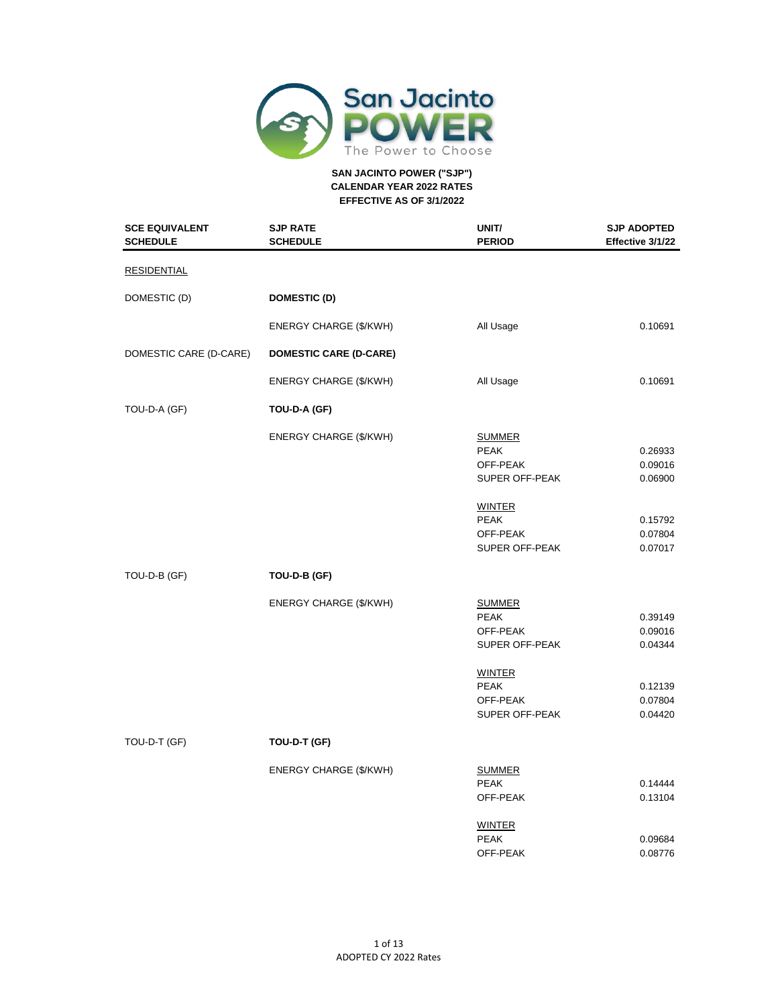

| <b>SCE EQUIVALENT</b><br><b>SCHEDULE</b> | <b>SJP RATE</b><br><b>SCHEDULE</b> | UNIT/<br><b>PERIOD</b>                                                                                                   | <b>SJP ADOPTED</b><br>Effective 3/1/22                         |
|------------------------------------------|------------------------------------|--------------------------------------------------------------------------------------------------------------------------|----------------------------------------------------------------|
| <b>RESIDENTIAL</b>                       |                                    |                                                                                                                          |                                                                |
| DOMESTIC (D)                             | <b>DOMESTIC (D)</b>                |                                                                                                                          |                                                                |
|                                          | ENERGY CHARGE (\$/KWH)             | All Usage                                                                                                                | 0.10691                                                        |
| DOMESTIC CARE (D-CARE)                   | <b>DOMESTIC CARE (D-CARE)</b>      |                                                                                                                          |                                                                |
|                                          | ENERGY CHARGE (\$/KWH)             | All Usage                                                                                                                | 0.10691                                                        |
| TOU-D-A (GF)                             | TOU-D-A (GF)                       |                                                                                                                          |                                                                |
|                                          | <b>ENERGY CHARGE (\$/KWH)</b>      | <b>SUMMER</b><br><b>PEAK</b><br>OFF-PEAK<br>SUPER OFF-PEAK<br><b>WINTER</b><br><b>PEAK</b><br>OFF-PEAK<br>SUPER OFF-PEAK | 0.26933<br>0.09016<br>0.06900<br>0.15792<br>0.07804<br>0.07017 |
| TOU-D-B (GF)                             | TOU-D-B (GF)                       |                                                                                                                          |                                                                |
|                                          | ENERGY CHARGE (\$/KWH)             | <b>SUMMER</b><br><b>PEAK</b><br>OFF-PEAK<br>SUPER OFF-PEAK<br><b>WINTER</b>                                              | 0.39149<br>0.09016<br>0.04344                                  |
|                                          |                                    | <b>PEAK</b><br>OFF-PEAK<br>SUPER OFF-PEAK                                                                                | 0.12139<br>0.07804<br>0.04420                                  |
| TOU-D-T (GF)                             | TOU-D-T (GF)                       |                                                                                                                          |                                                                |
|                                          | ENERGY CHARGE (\$/KWH)             | <b>SUMMER</b><br><b>PEAK</b><br>OFF-PEAK                                                                                 | 0.14444<br>0.13104                                             |
|                                          |                                    | <b>WINTER</b><br><b>PEAK</b><br>OFF-PEAK                                                                                 | 0.09684<br>0.08776                                             |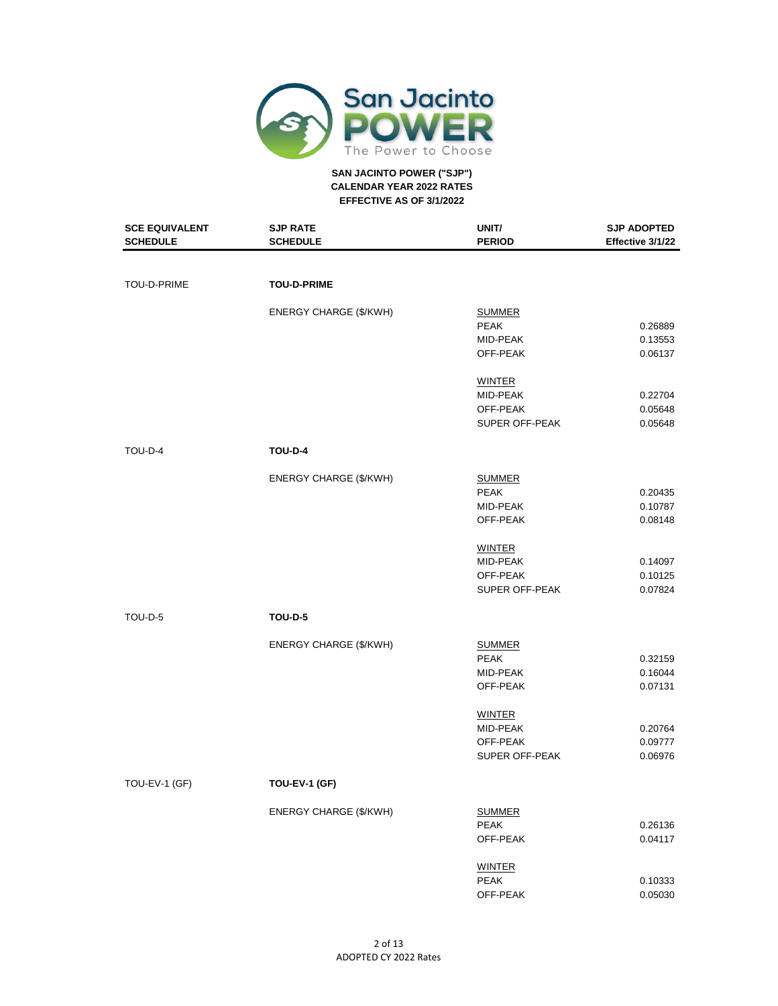

| <b>SCE EQUIVALENT</b> | <b>SJP RATE</b>               | UNIT/          | <b>SJP ADOPTED</b> |
|-----------------------|-------------------------------|----------------|--------------------|
| <b>SCHEDULE</b>       | <b>SCHEDULE</b>               | <b>PERIOD</b>  | Effective 3/1/22   |
|                       |                               |                |                    |
| TOU-D-PRIME           | <b>TOU-D-PRIME</b>            |                |                    |
|                       |                               |                |                    |
|                       | ENERGY CHARGE (\$/KWH)        | <b>SUMMER</b>  |                    |
|                       |                               | <b>PEAK</b>    | 0.26889            |
|                       |                               | MID-PEAK       | 0.13553            |
|                       |                               | OFF-PEAK       | 0.06137            |
|                       |                               | <b>WINTER</b>  |                    |
|                       |                               | MID-PEAK       | 0.22704            |
|                       |                               | OFF-PEAK       | 0.05648            |
|                       |                               | SUPER OFF-PEAK | 0.05648            |
| TOU-D-4               | <b>TOU-D-4</b>                |                |                    |
|                       | <b>ENERGY CHARGE (\$/KWH)</b> | <b>SUMMER</b>  |                    |
|                       |                               | <b>PEAK</b>    | 0.20435            |
|                       |                               | MID-PEAK       | 0.10787            |
|                       |                               | OFF-PEAK       | 0.08148            |
|                       |                               | <b>WINTER</b>  |                    |
|                       |                               | MID-PEAK       | 0.14097            |
|                       |                               | OFF-PEAK       | 0.10125            |
|                       |                               | SUPER OFF-PEAK | 0.07824            |
| TOU-D-5               | <b>TOU-D-5</b>                |                |                    |
|                       |                               |                |                    |
|                       | ENERGY CHARGE (\$/KWH)        | <b>SUMMER</b>  |                    |
|                       |                               | <b>PEAK</b>    | 0.32159            |
|                       |                               | MID-PEAK       | 0.16044            |
|                       |                               | OFF-PEAK       | 0.07131            |
|                       |                               | <b>WINTER</b>  |                    |
|                       |                               | MID-PEAK       | 0.20764            |
|                       |                               | OFF-PEAK       | 0.09777            |
|                       |                               | SUPER OFF-PEAK | 0.06976            |
| TOU-EV-1 (GF)         | TOU-EV-1 (GF)                 |                |                    |
|                       | ENERGY CHARGE (\$/KWH)        | <b>SUMMER</b>  |                    |
|                       |                               | PEAK           | 0.26136            |
|                       |                               | OFF-PEAK       | 0.04117            |
|                       |                               | <b>WINTER</b>  |                    |
|                       |                               | PEAK           | 0.10333            |
|                       |                               | OFF-PEAK       | 0.05030            |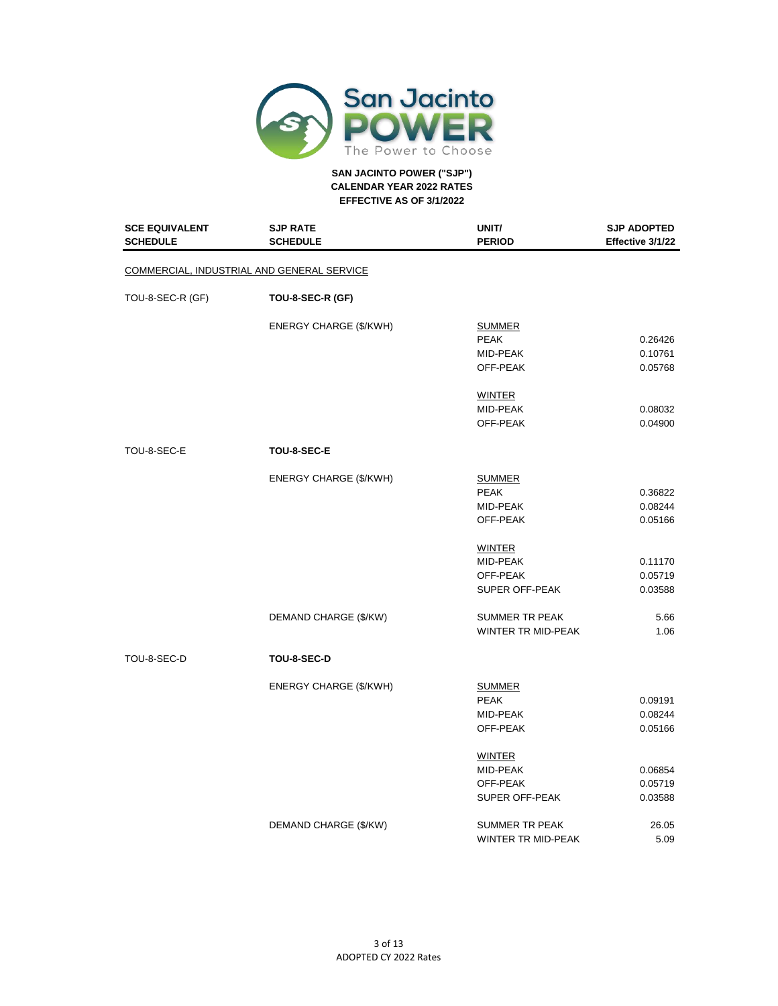

| <b>SCE EQUIVALENT</b><br><b>SCHEDULE</b> | <b>SJP RATE</b><br><b>SCHEDULE</b>         | UNIT/<br><b>PERIOD</b>                                  | <b>SJP ADOPTED</b><br>Effective 3/1/22 |
|------------------------------------------|--------------------------------------------|---------------------------------------------------------|----------------------------------------|
|                                          | COMMERCIAL, INDUSTRIAL AND GENERAL SERVICE |                                                         |                                        |
| TOU-8-SEC-R (GF)                         | TOU-8-SEC-R (GF)                           |                                                         |                                        |
|                                          | ENERGY CHARGE (\$/KWH)                     | <b>SUMMER</b><br><b>PEAK</b>                            | 0.26426                                |
|                                          |                                            | MID-PEAK<br>OFF-PEAK                                    | 0.10761<br>0.05768                     |
|                                          |                                            | <b>WINTER</b><br>MID-PEAK<br>OFF-PEAK                   | 0.08032<br>0.04900                     |
| TOU-8-SEC-E                              | TOU-8-SEC-E                                |                                                         |                                        |
|                                          |                                            |                                                         |                                        |
|                                          | ENERGY CHARGE (\$/KWH)                     | <b>SUMMER</b><br><b>PEAK</b><br>MID-PEAK<br>OFF-PEAK    | 0.36822<br>0.08244<br>0.05166          |
|                                          |                                            | <b>WINTER</b><br>MID-PEAK<br>OFF-PEAK                   | 0.11170<br>0.05719                     |
|                                          |                                            | SUPER OFF-PEAK                                          | 0.03588                                |
|                                          | DEMAND CHARGE (\$/KW)                      | <b>SUMMER TR PEAK</b><br>WINTER TR MID-PEAK             | 5.66<br>1.06                           |
| TOU-8-SEC-D                              | TOU-8-SEC-D                                |                                                         |                                        |
|                                          | ENERGY CHARGE (\$/KWH)                     | <b>SUMMER</b><br><b>PEAK</b><br>MID-PEAK<br>OFF-PEAK    | 0.09191<br>0.08244<br>0.05166          |
|                                          |                                            | <b>WINTER</b><br>MID-PEAK<br>OFF-PEAK<br>SUPER OFF-PEAK | 0.06854<br>0.05719<br>0.03588          |
|                                          | DEMAND CHARGE (\$/KW)                      | <b>SUMMER TR PEAK</b><br><b>WINTER TR MID-PEAK</b>      | 26.05<br>5.09                          |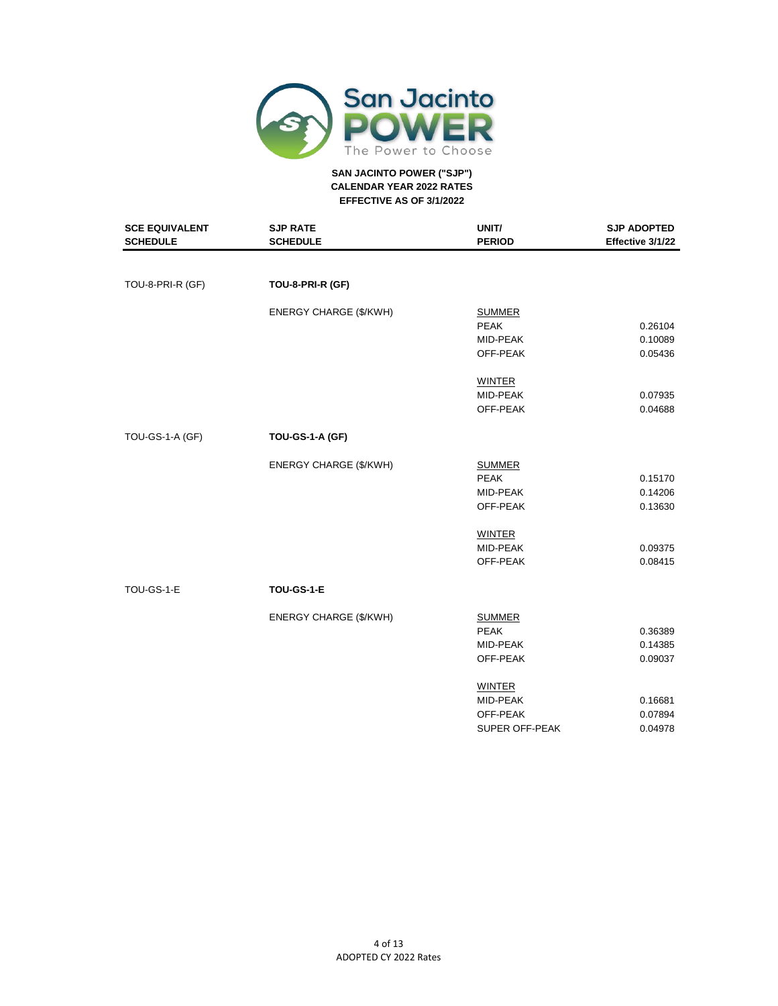

| <b>SCE EQUIVALENT</b><br><b>SCHEDULE</b> | <b>SJP RATE</b><br><b>SCHEDULE</b> | UNIT/<br><b>PERIOD</b> | <b>SJP ADOPTED</b><br>Effective 3/1/22 |
|------------------------------------------|------------------------------------|------------------------|----------------------------------------|
|                                          |                                    |                        |                                        |
| TOU-8-PRI-R (GF)                         | TOU-8-PRI-R (GF)                   |                        |                                        |
|                                          | <b>ENERGY CHARGE (\$/KWH)</b>      | <b>SUMMER</b>          |                                        |
|                                          |                                    | <b>PEAK</b>            | 0.26104                                |
|                                          |                                    | MID-PEAK               | 0.10089                                |
|                                          |                                    | OFF-PEAK               | 0.05436                                |
|                                          |                                    | <b>WINTER</b>          |                                        |
|                                          |                                    | MID-PEAK               | 0.07935                                |
|                                          |                                    | OFF-PEAK               | 0.04688                                |
| TOU-GS-1-A (GF)                          | TOU-GS-1-A (GF)                    |                        |                                        |
|                                          | <b>ENERGY CHARGE (\$/KWH)</b>      | <b>SUMMER</b>          |                                        |
|                                          |                                    | <b>PEAK</b>            | 0.15170                                |
|                                          |                                    | MID-PEAK               | 0.14206                                |
|                                          |                                    | OFF-PEAK               | 0.13630                                |
|                                          |                                    | <b>WINTER</b>          |                                        |
|                                          |                                    | MID-PEAK               | 0.09375                                |
|                                          |                                    | OFF-PEAK               | 0.08415                                |
| TOU-GS-1-E                               | TOU-GS-1-E                         |                        |                                        |
|                                          | <b>ENERGY CHARGE (\$/KWH)</b>      | <b>SUMMER</b>          |                                        |
|                                          |                                    | <b>PEAK</b>            | 0.36389                                |
|                                          |                                    | MID-PEAK               | 0.14385                                |
|                                          |                                    | OFF-PEAK               | 0.09037                                |
|                                          |                                    | <b>WINTER</b>          |                                        |
|                                          |                                    | MID-PEAK               | 0.16681                                |
|                                          |                                    | OFF-PEAK               | 0.07894                                |
|                                          |                                    | <b>SUPER OFF-PEAK</b>  | 0.04978                                |
|                                          |                                    |                        |                                        |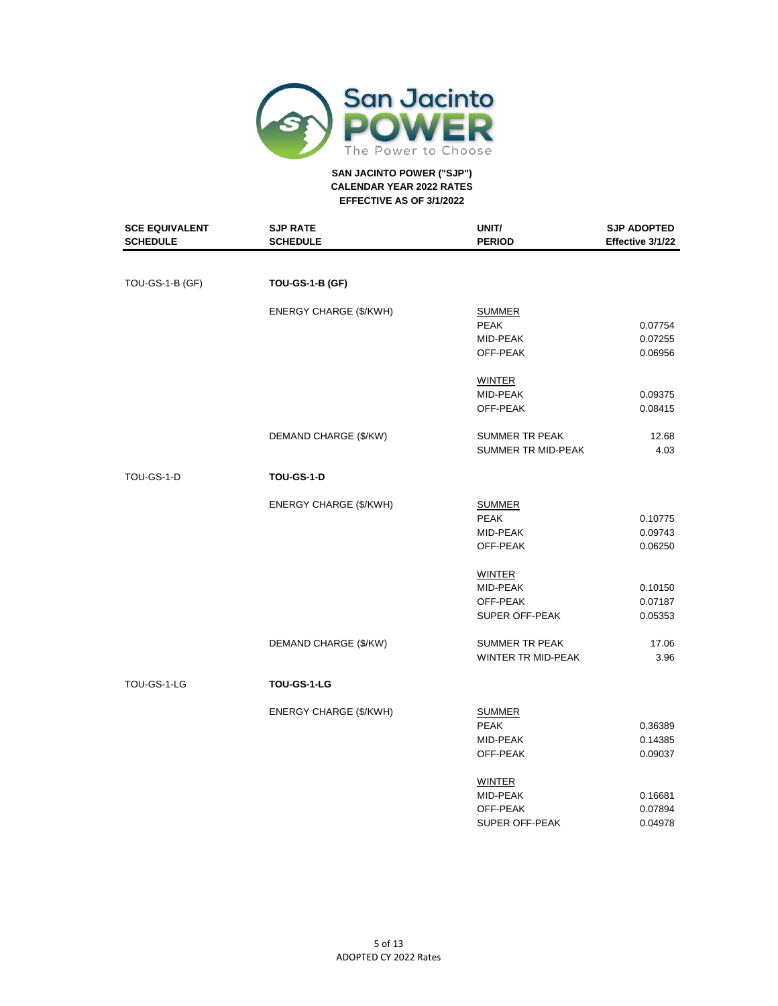

| <b>SCE EQUIVALENT</b><br><b>SCHEDULE</b> | <b>SJP RATE</b><br><b>SCHEDULE</b> | UNIT/<br><b>PERIOD</b>    | <b>SJP ADOPTED</b><br>Effective 3/1/22 |
|------------------------------------------|------------------------------------|---------------------------|----------------------------------------|
|                                          |                                    |                           |                                        |
| TOU-GS-1-B (GF)                          | <b>TOU-GS-1-B (GF)</b>             |                           |                                        |
|                                          | ENERGY CHARGE (\$/KWH)             | <b>SUMMER</b>             |                                        |
|                                          |                                    | <b>PEAK</b>               | 0.07754                                |
|                                          |                                    | MID-PEAK                  | 0.07255                                |
|                                          |                                    | OFF-PEAK                  | 0.06956                                |
|                                          |                                    | <b>WINTER</b>             |                                        |
|                                          |                                    | MID-PEAK                  | 0.09375                                |
|                                          |                                    | OFF-PEAK                  | 0.08415                                |
|                                          | DEMAND CHARGE (\$/KW)              | <b>SUMMER TR PEAK</b>     | 12.68                                  |
|                                          |                                    | SUMMER TR MID-PEAK        | 4.03                                   |
| TOU-GS-1-D                               | <b>TOU-GS-1-D</b>                  |                           |                                        |
|                                          | ENERGY CHARGE (\$/KWH)             | <b>SUMMER</b>             |                                        |
|                                          |                                    | <b>PEAK</b>               | 0.10775                                |
|                                          |                                    | MID-PEAK                  | 0.09743                                |
|                                          |                                    | OFF-PEAK                  | 0.06250                                |
|                                          |                                    | <b>WINTER</b>             |                                        |
|                                          |                                    | MID-PEAK                  | 0.10150                                |
|                                          |                                    | OFF-PEAK                  | 0.07187                                |
|                                          |                                    | SUPER OFF-PEAK            | 0.05353                                |
|                                          | DEMAND CHARGE (\$/KW)              | <b>SUMMER TR PEAK</b>     | 17.06                                  |
|                                          |                                    | <b>WINTER TR MID-PEAK</b> | 3.96                                   |
| TOU-GS-1-LG                              | TOU-GS-1-LG                        |                           |                                        |
|                                          |                                    |                           |                                        |
|                                          | ENERGY CHARGE (\$/KWH)             | <b>SUMMER</b>             |                                        |
|                                          |                                    | <b>PEAK</b>               | 0.36389                                |
|                                          |                                    | MID-PEAK                  | 0.14385                                |
|                                          |                                    | OFF-PEAK                  | 0.09037                                |
|                                          |                                    | <b>WINTER</b>             |                                        |
|                                          |                                    | MID-PEAK                  | 0.16681                                |
|                                          |                                    | OFF-PEAK                  | 0.07894                                |
|                                          |                                    | <b>SUPER OFF-PEAK</b>     | 0.04978                                |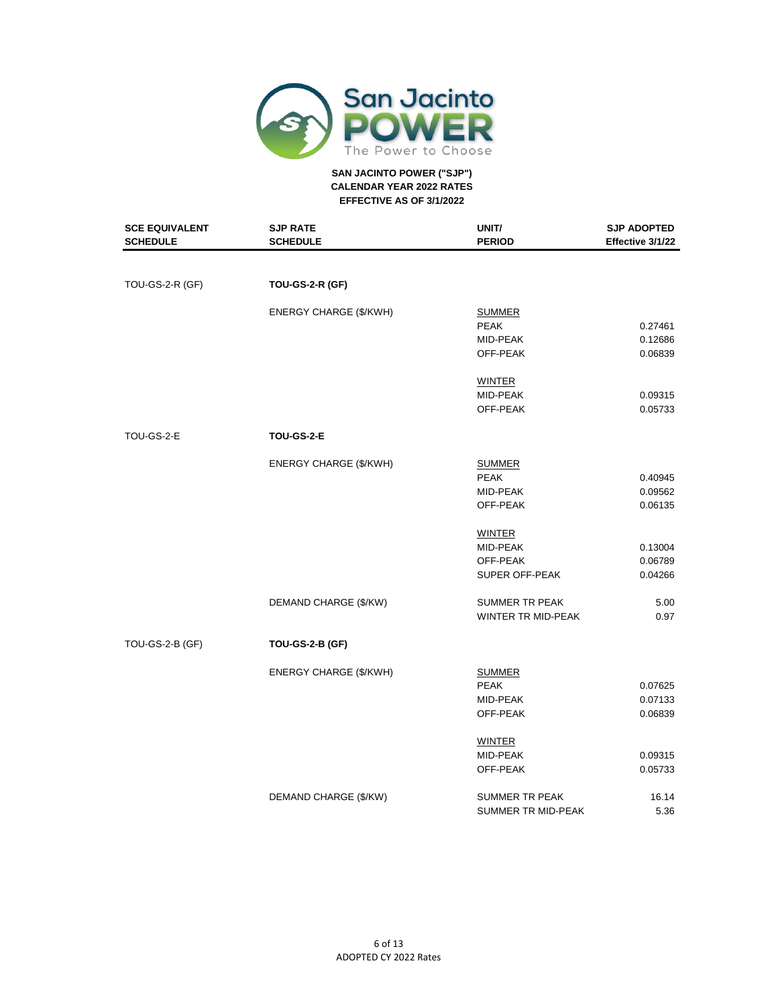

| <b>SCE EQUIVALENT</b><br><b>SCHEDULE</b> | <b>SJP RATE</b><br><b>SCHEDULE</b> | UNIT/<br><b>PERIOD</b> | <b>SJP ADOPTED</b><br>Effective 3/1/22 |
|------------------------------------------|------------------------------------|------------------------|----------------------------------------|
|                                          |                                    |                        |                                        |
| TOU-GS-2-R (GF)                          | <b>TOU-GS-2-R (GF)</b>             |                        |                                        |
|                                          | <b>ENERGY CHARGE (\$/KWH)</b>      | <b>SUMMER</b>          |                                        |
|                                          |                                    | <b>PEAK</b>            | 0.27461                                |
|                                          |                                    | MID-PEAK               | 0.12686                                |
|                                          |                                    | OFF-PEAK               | 0.06839                                |
|                                          |                                    | <b>WINTER</b>          |                                        |
|                                          |                                    | MID-PEAK               | 0.09315                                |
|                                          |                                    | OFF-PEAK               | 0.05733                                |
| TOU-GS-2-E                               | TOU-GS-2-E                         |                        |                                        |
|                                          | <b>ENERGY CHARGE (\$/KWH)</b>      | <b>SUMMER</b>          |                                        |
|                                          |                                    | <b>PEAK</b>            | 0.40945                                |
|                                          |                                    | MID-PEAK               | 0.09562                                |
|                                          |                                    | OFF-PEAK               | 0.06135                                |
|                                          |                                    | WINTER                 |                                        |
|                                          |                                    | MID-PEAK               | 0.13004                                |
|                                          |                                    | OFF-PEAK               | 0.06789                                |
|                                          |                                    | SUPER OFF-PEAK         | 0.04266                                |
|                                          | DEMAND CHARGE (\$/KW)              | <b>SUMMER TR PEAK</b>  | 5.00                                   |
|                                          |                                    | WINTER TR MID-PEAK     | 0.97                                   |
| TOU-GS-2-B (GF)                          | <b>TOU-GS-2-B (GF)</b>             |                        |                                        |
|                                          | <b>ENERGY CHARGE (\$/KWH)</b>      | <b>SUMMER</b>          |                                        |
|                                          |                                    | <b>PEAK</b>            | 0.07625                                |
|                                          |                                    | MID-PEAK               | 0.07133                                |
|                                          |                                    | OFF-PEAK               | 0.06839                                |
|                                          |                                    | <b>WINTER</b>          |                                        |
|                                          |                                    | MID-PEAK               | 0.09315                                |
|                                          |                                    | OFF-PEAK               | 0.05733                                |
|                                          | DEMAND CHARGE (\$/KW)              | SUMMER TR PEAK         | 16.14                                  |
|                                          |                                    | SUMMER TR MID-PEAK     | 5.36                                   |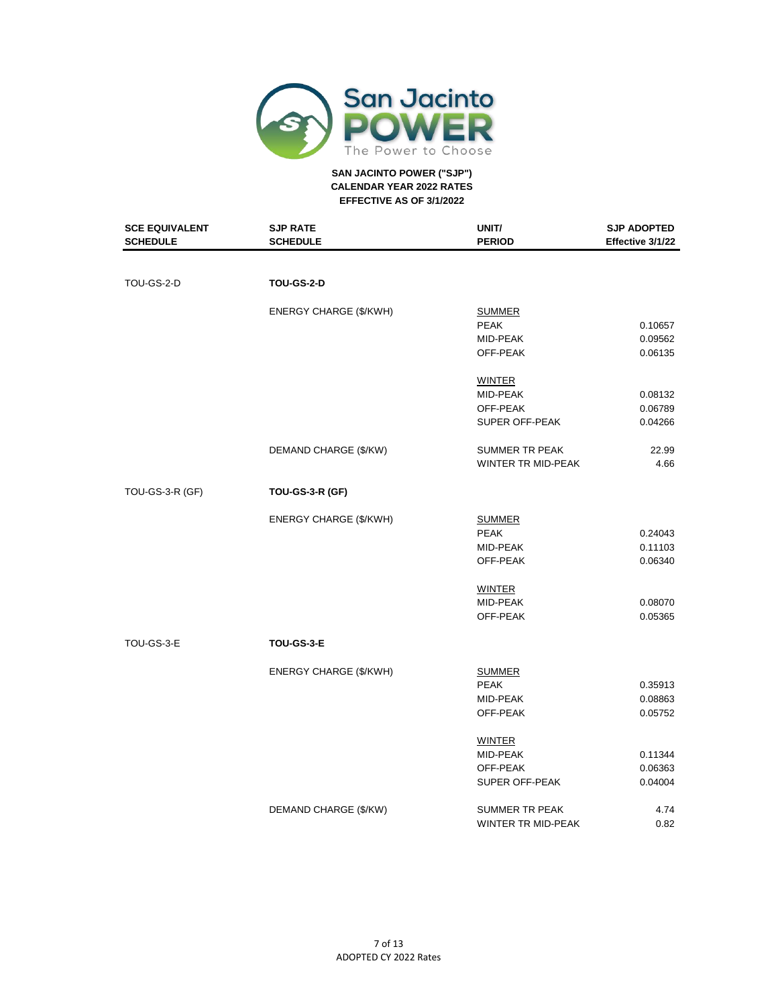

| <b>SCE EQUIVALENT</b><br><b>SCHEDULE</b> | <b>SJP RATE</b><br><b>SCHEDULE</b> | UNIT/<br><b>PERIOD</b>    | <b>SJP ADOPTED</b><br>Effective 3/1/22 |
|------------------------------------------|------------------------------------|---------------------------|----------------------------------------|
|                                          |                                    |                           |                                        |
| TOU-GS-2-D                               | <b>TOU-GS-2-D</b>                  |                           |                                        |
|                                          | <b>ENERGY CHARGE (\$/KWH)</b>      | <b>SUMMER</b>             |                                        |
|                                          |                                    | <b>PEAK</b>               | 0.10657                                |
|                                          |                                    | MID-PEAK                  | 0.09562                                |
|                                          |                                    | OFF-PEAK                  | 0.06135                                |
|                                          |                                    | <b>WINTER</b>             |                                        |
|                                          |                                    | MID-PEAK                  | 0.08132                                |
|                                          |                                    | OFF-PEAK                  | 0.06789                                |
|                                          |                                    | SUPER OFF-PEAK            | 0.04266                                |
|                                          | DEMAND CHARGE (\$/KW)              | <b>SUMMER TR PEAK</b>     | 22.99                                  |
|                                          |                                    | WINTER TR MID-PEAK        | 4.66                                   |
| <b>TOU-GS-3-R (GF)</b>                   | <b>TOU-GS-3-R (GF)</b>             |                           |                                        |
|                                          | <b>ENERGY CHARGE (\$/KWH)</b>      | <b>SUMMER</b>             |                                        |
|                                          |                                    | <b>PEAK</b>               | 0.24043                                |
|                                          |                                    | MID-PEAK                  | 0.11103                                |
|                                          |                                    | OFF-PEAK                  | 0.06340                                |
|                                          |                                    | <b>WINTER</b>             |                                        |
|                                          |                                    | MID-PEAK                  | 0.08070                                |
|                                          |                                    | OFF-PEAK                  | 0.05365                                |
| TOU-GS-3-E                               | TOU-GS-3-E                         |                           |                                        |
|                                          | <b>ENERGY CHARGE (\$/KWH)</b>      | <b>SUMMER</b>             |                                        |
|                                          |                                    | <b>PEAK</b>               | 0.35913                                |
|                                          |                                    | MID-PEAK                  | 0.08863                                |
|                                          |                                    | OFF-PEAK                  | 0.05752                                |
|                                          |                                    | <b>WINTER</b>             |                                        |
|                                          |                                    | MID-PEAK                  | 0.11344                                |
|                                          |                                    | OFF-PEAK                  | 0.06363                                |
|                                          |                                    | SUPER OFF-PEAK            | 0.04004                                |
|                                          | DEMAND CHARGE (\$/KW)              | <b>SUMMER TR PEAK</b>     | 4.74                                   |
|                                          |                                    | <b>WINTER TR MID-PEAK</b> | 0.82                                   |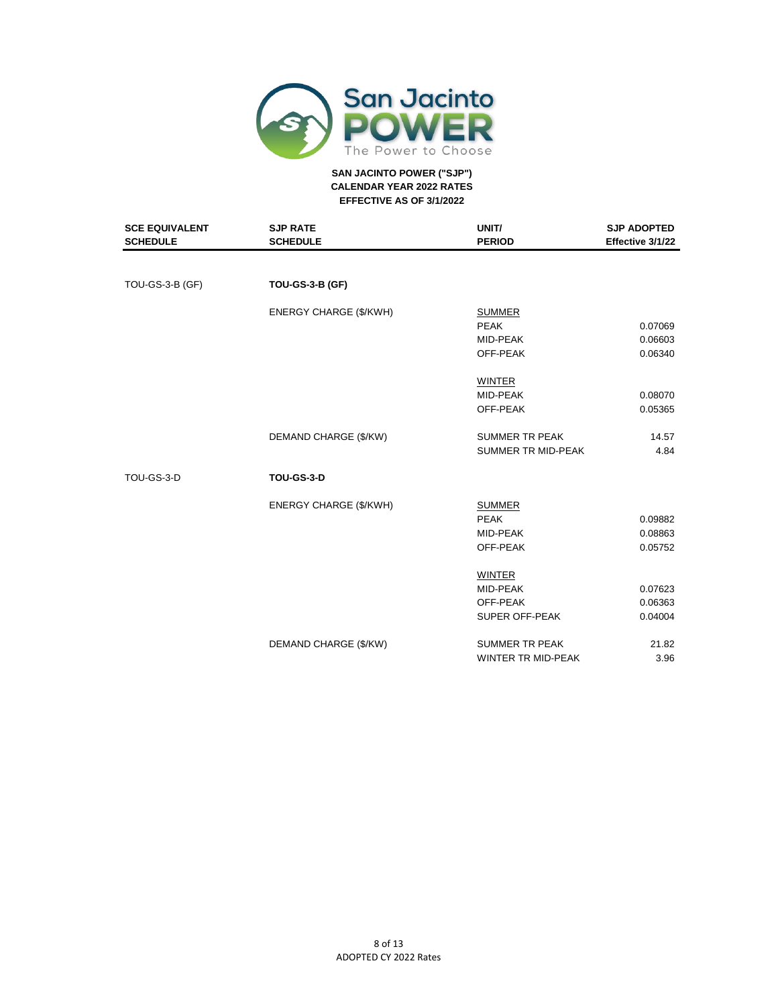

| <b>SCE EQUIVALENT</b><br><b>SCHEDULE</b> | <b>SJP RATE</b><br><b>SCHEDULE</b> | UNIT/<br><b>PERIOD</b>    | <b>SJP ADOPTED</b><br>Effective 3/1/22 |
|------------------------------------------|------------------------------------|---------------------------|----------------------------------------|
|                                          |                                    |                           |                                        |
| TOU-GS-3-B (GF)                          | <b>TOU-GS-3-B (GF)</b>             |                           |                                        |
|                                          | <b>ENERGY CHARGE (\$/KWH)</b>      | <b>SUMMER</b>             |                                        |
|                                          |                                    | <b>PEAK</b>               | 0.07069                                |
|                                          |                                    | MID-PEAK                  | 0.06603                                |
|                                          |                                    | OFF-PEAK                  | 0.06340                                |
|                                          |                                    | <b>WINTER</b>             |                                        |
|                                          |                                    | MID-PEAK                  | 0.08070                                |
|                                          |                                    | OFF-PEAK                  | 0.05365                                |
|                                          | DEMAND CHARGE (\$/KW)              | <b>SUMMER TR PEAK</b>     | 14.57                                  |
|                                          |                                    | <b>SUMMER TR MID-PEAK</b> | 4.84                                   |
| TOU-GS-3-D                               | <b>TOU-GS-3-D</b>                  |                           |                                        |
|                                          | ENERGY CHARGE (\$/KWH)             | <b>SUMMER</b>             |                                        |
|                                          |                                    | <b>PEAK</b>               | 0.09882                                |
|                                          |                                    | MID-PEAK                  | 0.08863                                |
|                                          |                                    | OFF-PEAK                  | 0.05752                                |
|                                          |                                    | <b>WINTER</b>             |                                        |
|                                          |                                    | MID-PEAK                  | 0.07623                                |
|                                          |                                    | OFF-PEAK                  | 0.06363                                |
|                                          |                                    | SUPER OFF-PEAK            | 0.04004                                |
|                                          | DEMAND CHARGE (\$/KW)              | <b>SUMMER TR PEAK</b>     | 21.82                                  |
|                                          |                                    | <b>WINTER TR MID-PEAK</b> | 3.96                                   |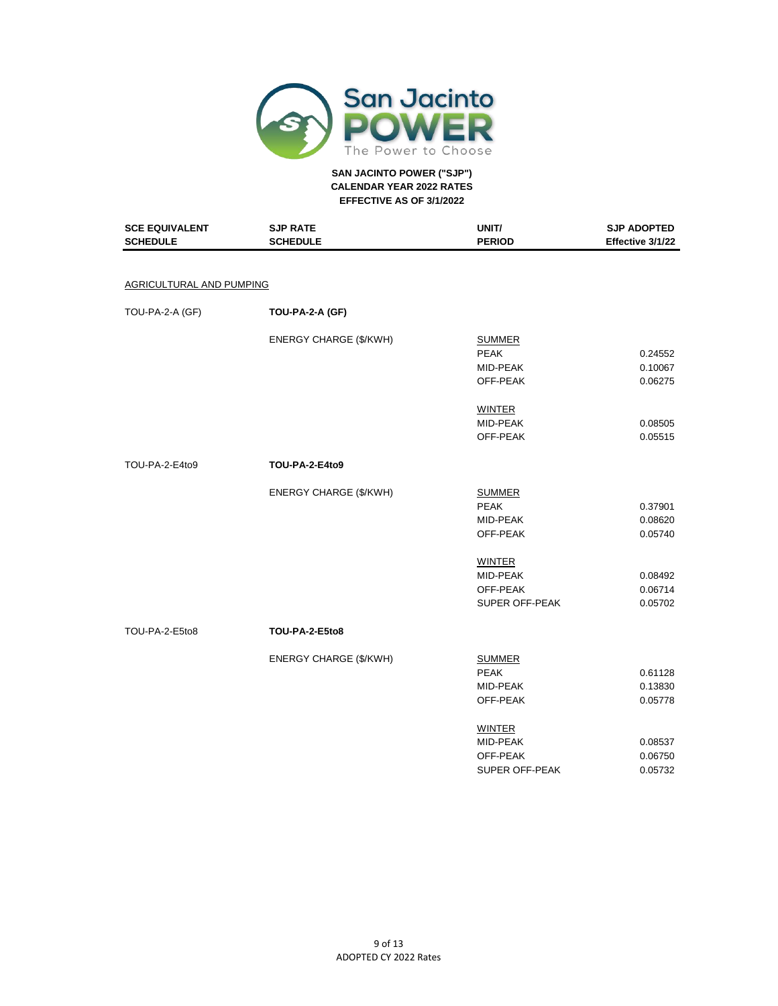

| <b>SCE EQUIVALENT</b><br><b>SCHEDULE</b> | <b>SJP RATE</b><br><b>SCHEDULE</b> | UNIT/<br><b>PERIOD</b> | <b>SJP ADOPTED</b><br>Effective 3/1/22 |
|------------------------------------------|------------------------------------|------------------------|----------------------------------------|
|                                          |                                    |                        |                                        |
| AGRICULTURAL AND PUMPING                 |                                    |                        |                                        |
| TOU-PA-2-A (GF)                          | TOU-PA-2-A (GF)                    |                        |                                        |
|                                          | ENERGY CHARGE (\$/KWH)             | <b>SUMMER</b>          |                                        |
|                                          |                                    | <b>PEAK</b>            | 0.24552                                |
|                                          |                                    | MID-PEAK               | 0.10067                                |
|                                          |                                    | OFF-PEAK               | 0.06275                                |
|                                          |                                    | <b>WINTER</b>          |                                        |
|                                          |                                    | MID-PEAK               | 0.08505                                |
|                                          |                                    | OFF-PEAK               | 0.05515                                |
| TOU-PA-2-E4to9                           | <b>TOU-PA-2-E4to9</b>              |                        |                                        |
|                                          | ENERGY CHARGE (\$/KWH)             | <b>SUMMER</b>          |                                        |
|                                          |                                    | <b>PEAK</b>            | 0.37901                                |
|                                          |                                    | MID-PEAK               | 0.08620                                |
|                                          |                                    | OFF-PEAK               | 0.05740                                |
|                                          |                                    | <b>WINTER</b>          |                                        |
|                                          |                                    | MID-PEAK               | 0.08492                                |
|                                          |                                    | OFF-PEAK               | 0.06714                                |
|                                          |                                    | SUPER OFF-PEAK         | 0.05702                                |
| TOU-PA-2-E5to8                           | <b>TOU-PA-2-E5to8</b>              |                        |                                        |
|                                          | ENERGY CHARGE (\$/KWH)             | <b>SUMMER</b>          |                                        |
|                                          |                                    | <b>PEAK</b>            | 0.61128                                |
|                                          |                                    | MID-PEAK               | 0.13830                                |
|                                          |                                    | OFF-PEAK               | 0.05778                                |
|                                          |                                    | <b>WINTER</b>          |                                        |
|                                          |                                    | MID-PEAK               | 0.08537                                |
|                                          |                                    | OFF-PEAK               | 0.06750                                |
|                                          |                                    | SUPER OFF-PEAK         | 0.05732                                |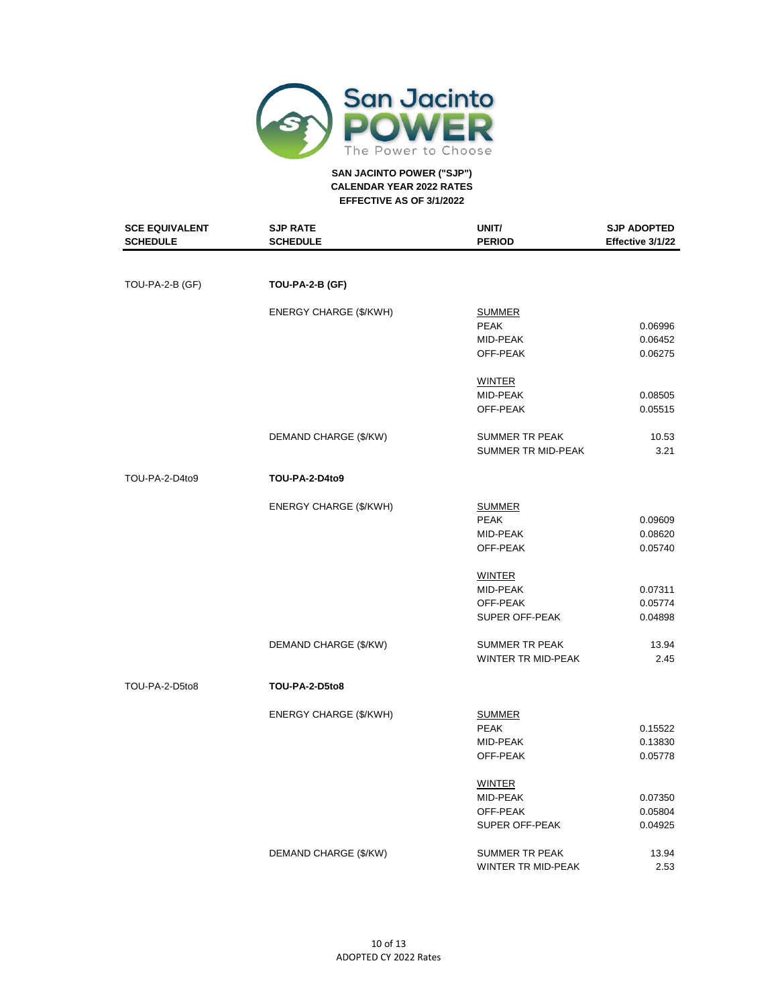

| <b>SCE EQUIVALENT</b><br><b>SCHEDULE</b> | <b>SJP RATE</b><br><b>SCHEDULE</b> | UNIT/<br><b>PERIOD</b> | <b>SJP ADOPTED</b><br>Effective 3/1/22 |
|------------------------------------------|------------------------------------|------------------------|----------------------------------------|
|                                          |                                    |                        |                                        |
| TOU-PA-2-B (GF)                          | TOU-PA-2-B (GF)                    |                        |                                        |
|                                          | <b>ENERGY CHARGE (\$/KWH)</b>      | <b>SUMMER</b>          |                                        |
|                                          |                                    | <b>PEAK</b>            | 0.06996                                |
|                                          |                                    | MID-PEAK               | 0.06452                                |
|                                          |                                    | OFF-PEAK               | 0.06275                                |
|                                          |                                    | <b>WINTER</b>          |                                        |
|                                          |                                    | MID-PEAK               | 0.08505                                |
|                                          |                                    | OFF-PEAK               | 0.05515                                |
|                                          | DEMAND CHARGE (\$/KW)              | SUMMER TR PEAK         | 10.53                                  |
|                                          |                                    | SUMMER TR MID-PEAK     | 3.21                                   |
| TOU-PA-2-D4to9                           | <b>TOU-PA-2-D4to9</b>              |                        |                                        |
|                                          | ENERGY CHARGE (\$/KWH)             | <b>SUMMER</b>          |                                        |
|                                          |                                    | <b>PEAK</b>            | 0.09609                                |
|                                          |                                    | MID-PEAK               | 0.08620                                |
|                                          |                                    | OFF-PEAK               | 0.05740                                |
|                                          |                                    | <b>WINTER</b>          |                                        |
|                                          |                                    | MID-PEAK               | 0.07311                                |
|                                          |                                    | OFF-PEAK               | 0.05774                                |
|                                          |                                    | SUPER OFF-PEAK         | 0.04898                                |
|                                          | DEMAND CHARGE (\$/KW)              | <b>SUMMER TR PEAK</b>  | 13.94                                  |
|                                          |                                    | WINTER TR MID-PEAK     | 2.45                                   |
| TOU-PA-2-D5to8                           | TOU-PA-2-D5to8                     |                        |                                        |
|                                          | ENERGY CHARGE (\$/KWH)             | <b>SUMMER</b>          |                                        |
|                                          |                                    | <b>PEAK</b>            | 0.15522                                |
|                                          |                                    | MID-PEAK               | 0.13830                                |
|                                          |                                    | OFF-PEAK               | 0.05778                                |
|                                          |                                    | <b>WINTER</b>          |                                        |
|                                          |                                    | MID-PEAK               | 0.07350                                |
|                                          |                                    | OFF-PEAK               | 0.05804                                |
|                                          |                                    | SUPER OFF-PEAK         | 0.04925                                |
|                                          | DEMAND CHARGE (\$/KW)              | SUMMER TR PEAK         | 13.94                                  |
|                                          |                                    | WINTER TR MID-PEAK     | 2.53                                   |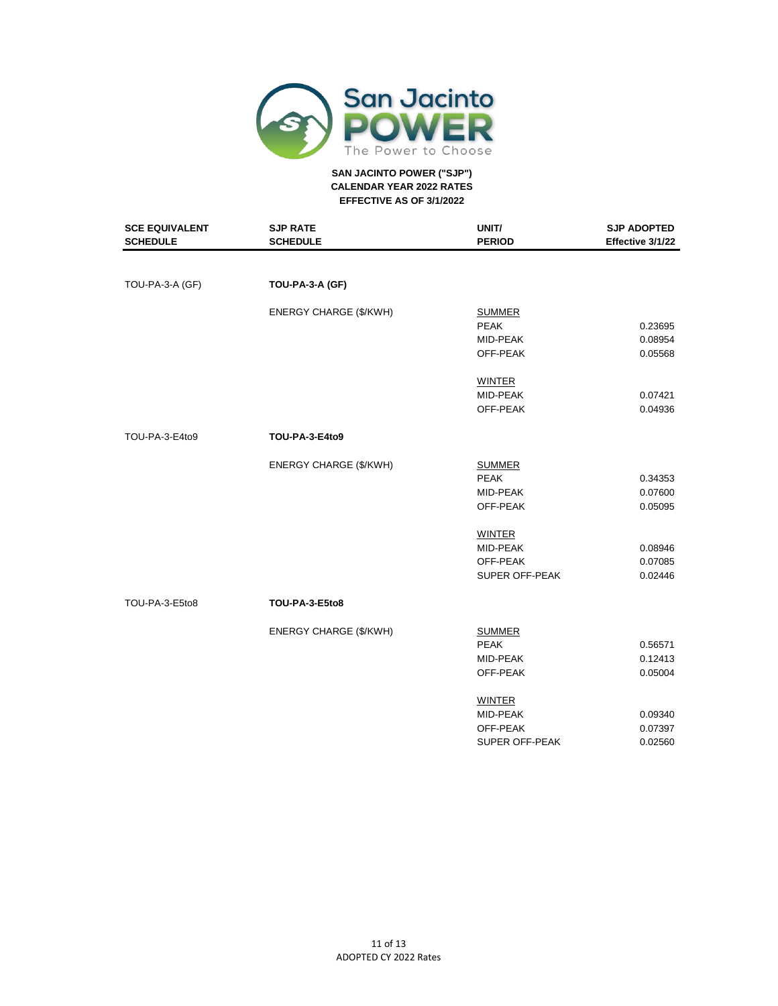

| <b>SCE EQUIVALENT</b><br><b>SCHEDULE</b> | <b>SJP RATE</b><br><b>SCHEDULE</b> | UNIT/<br><b>PERIOD</b> | <b>SJP ADOPTED</b><br>Effective 3/1/22 |
|------------------------------------------|------------------------------------|------------------------|----------------------------------------|
|                                          |                                    |                        |                                        |
| TOU-PA-3-A (GF)                          | TOU-PA-3-A (GF)                    |                        |                                        |
|                                          | <b>ENERGY CHARGE (\$/KWH)</b>      | <b>SUMMER</b>          |                                        |
|                                          |                                    | <b>PEAK</b>            | 0.23695                                |
|                                          |                                    | MID-PEAK               | 0.08954                                |
|                                          |                                    | OFF-PEAK               | 0.05568                                |
|                                          |                                    | <b>WINTER</b>          |                                        |
|                                          |                                    | MID-PEAK               | 0.07421                                |
|                                          |                                    | OFF-PEAK               | 0.04936                                |
| TOU-PA-3-E4to9                           | TOU-PA-3-E4to9                     |                        |                                        |
|                                          | ENERGY CHARGE (\$/KWH)             | <b>SUMMER</b>          |                                        |
|                                          |                                    | <b>PEAK</b>            | 0.34353                                |
|                                          |                                    | MID-PEAK               | 0.07600                                |
|                                          |                                    | OFF-PEAK               | 0.05095                                |
|                                          |                                    | <b>WINTER</b>          |                                        |
|                                          |                                    | MID-PEAK               | 0.08946                                |
|                                          |                                    | OFF-PEAK               | 0.07085                                |
|                                          |                                    | <b>SUPER OFF-PEAK</b>  | 0.02446                                |
| TOU-PA-3-E5to8                           | TOU-PA-3-E5to8                     |                        |                                        |
|                                          | <b>ENERGY CHARGE (\$/KWH)</b>      | <b>SUMMER</b>          |                                        |
|                                          |                                    | <b>PEAK</b>            | 0.56571                                |
|                                          |                                    | MID-PEAK               | 0.12413                                |
|                                          |                                    | OFF-PEAK               | 0.05004                                |
|                                          |                                    | <b>WINTER</b>          |                                        |
|                                          |                                    | MID-PEAK               | 0.09340                                |
|                                          |                                    | OFF-PEAK               | 0.07397                                |
|                                          |                                    | SUPER OFF-PEAK         | 0.02560                                |
|                                          |                                    |                        |                                        |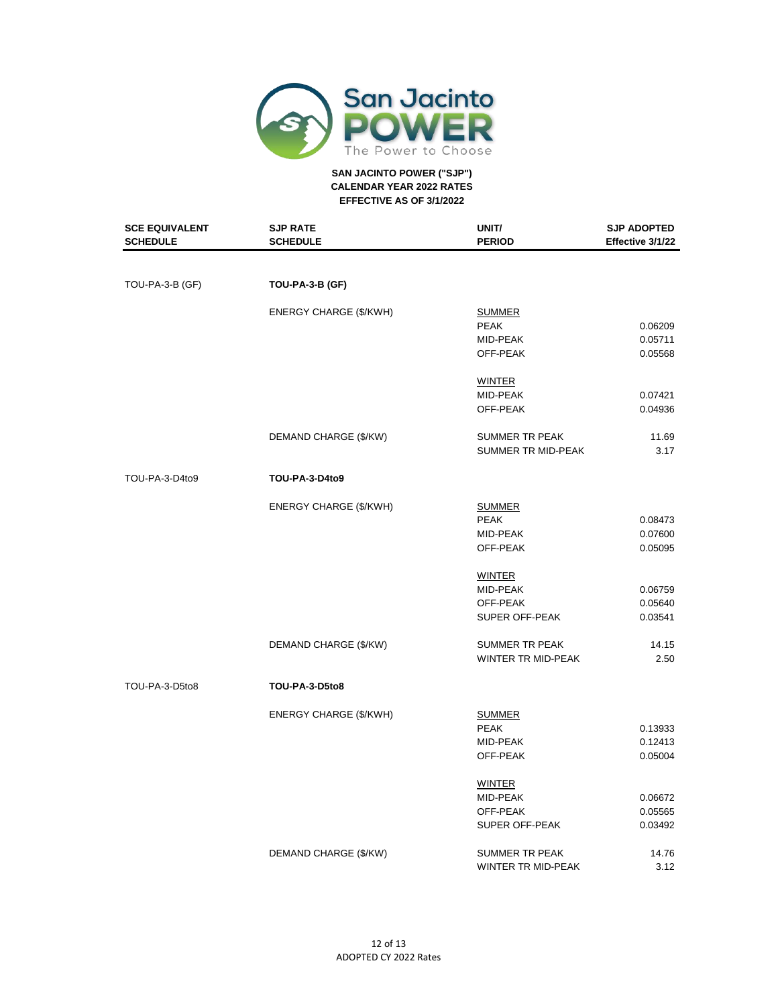

| <b>SCE EQUIVALENT</b><br><b>SCHEDULE</b> | <b>SJP RATE</b><br><b>SCHEDULE</b> | UNIT/<br><b>PERIOD</b> | <b>SJP ADOPTED</b><br>Effective 3/1/22 |
|------------------------------------------|------------------------------------|------------------------|----------------------------------------|
|                                          |                                    |                        |                                        |
| TOU-PA-3-B (GF)                          | TOU-PA-3-B (GF)                    |                        |                                        |
|                                          | <b>ENERGY CHARGE (\$/KWH)</b>      | <b>SUMMER</b>          |                                        |
|                                          |                                    | <b>PEAK</b>            | 0.06209                                |
|                                          |                                    | MID-PEAK               | 0.05711                                |
|                                          |                                    | OFF-PEAK               | 0.05568                                |
|                                          |                                    | <b>WINTER</b>          |                                        |
|                                          |                                    | MID-PEAK               | 0.07421                                |
|                                          |                                    | OFF-PEAK               | 0.04936                                |
|                                          | DEMAND CHARGE (\$/KW)              | <b>SUMMER TR PEAK</b>  | 11.69                                  |
|                                          |                                    | SUMMER TR MID-PEAK     | 3.17                                   |
| TOU-PA-3-D4to9                           | <b>TOU-PA-3-D4to9</b>              |                        |                                        |
|                                          | ENERGY CHARGE (\$/KWH)             | <b>SUMMER</b>          |                                        |
|                                          |                                    | <b>PEAK</b>            | 0.08473                                |
|                                          |                                    | MID-PEAK               | 0.07600                                |
|                                          |                                    | OFF-PEAK               | 0.05095                                |
|                                          |                                    | <b>WINTER</b>          |                                        |
|                                          |                                    | MID-PEAK               | 0.06759                                |
|                                          |                                    | OFF-PEAK               | 0.05640                                |
|                                          |                                    | SUPER OFF-PEAK         | 0.03541                                |
|                                          | DEMAND CHARGE (\$/KW)              | <b>SUMMER TR PEAK</b>  | 14.15                                  |
|                                          |                                    | WINTER TR MID-PEAK     | 2.50                                   |
| TOU-PA-3-D5to8                           | TOU-PA-3-D5to8                     |                        |                                        |
|                                          | ENERGY CHARGE (\$/KWH)             | <b>SUMMER</b>          |                                        |
|                                          |                                    | <b>PEAK</b>            | 0.13933                                |
|                                          |                                    | MID-PEAK               | 0.12413                                |
|                                          |                                    | OFF-PEAK               | 0.05004                                |
|                                          |                                    | <b>WINTER</b>          |                                        |
|                                          |                                    | MID-PEAK               | 0.06672                                |
|                                          |                                    | OFF-PEAK               | 0.05565                                |
|                                          |                                    | SUPER OFF-PEAK         | 0.03492                                |
|                                          | DEMAND CHARGE (\$/KW)              | SUMMER TR PEAK         | 14.76                                  |
|                                          |                                    | WINTER TR MID-PEAK     | 3.12                                   |